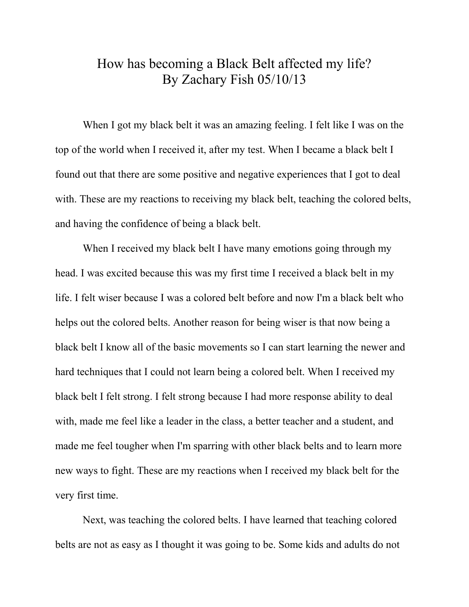## How has becoming a Black Belt affected my life? By Zachary Fish 05/10/13

When I got my black belt it was an amazing feeling. I felt like I was on the top of the world when I received it, after my test. When I became a black belt I found out that there are some positive and negative experiences that I got to deal with. These are my reactions to receiving my black belt, teaching the colored belts, and having the confidence of being a black belt.

When I received my black belt I have many emotions going through my head. I was excited because this was my first time I received a black belt in my life. I felt wiser because I was a colored belt before and now I'm a black belt who helps out the colored belts. Another reason for being wiser is that now being a black belt I know all of the basic movements so I can start learning the newer and hard techniques that I could not learn being a colored belt. When I received my black belt I felt strong. I felt strong because I had more response ability to deal with, made me feel like a leader in the class, a better teacher and a student, and made me feel tougher when I'm sparring with other black belts and to learn more new ways to fight. These are my reactions when I received my black belt for the very first time.

Next, was teaching the colored belts. I have learned that teaching colored belts are not as easy as I thought it was going to be. Some kids and adults do not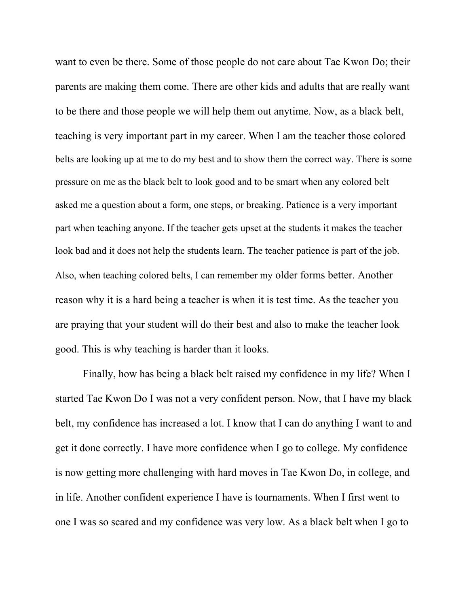want to even be there. Some of those people do not care about Tae Kwon Do; their parents are making them come. There are other kids and adults that are really want to be there and those people we will help them out anytime. Now, as a black belt, teaching is very important part in my career. When I am the teacher those colored belts are looking up at me to do my best and to show them the correct way. There is some pressure on me as the black belt to look good and to be smart when any colored belt asked me a question about a form, one steps, or breaking. Patience is a very important part when teaching anyone. If the teacher gets upset at the students it makes the teacher look bad and it does not help the students learn. The teacher patience is part of the job. Also, when teaching colored belts, I can remember my older forms better. Another reason why it is a hard being a teacher is when it is test time. As the teacher you are praying that your student will do their best and also to make the teacher look good. This is why teaching is harder than it looks.

Finally, how has being a black belt raised my confidence in my life? When I started Tae Kwon Do I was not a very confident person. Now, that I have my black belt, my confidence has increased a lot. I know that I can do anything I want to and get it done correctly. I have more confidence when I go to college. My confidence is now getting more challenging with hard moves in Tae Kwon Do, in college, and in life. Another confident experience I have is tournaments. When I first went to one I was so scared and my confidence was very low. As a black belt when I go to